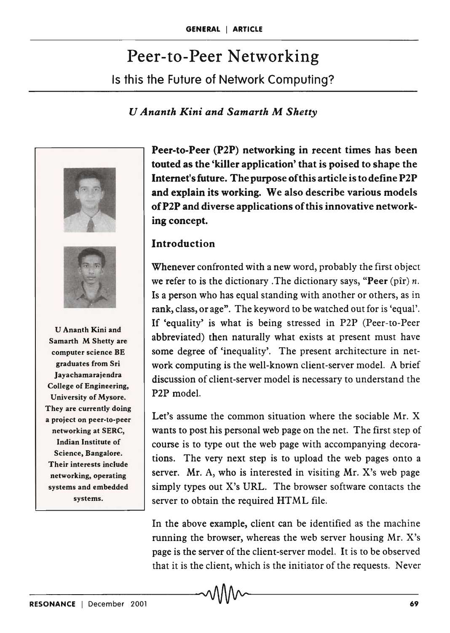# Peer-to-Peer Networking Is this the Future of Network Computing?

#### *U Ananth Kini and Samarth* M *Shetty*





U Ananth Kini and Samarth M Shetty are computer science BE graduates from Sri Jayachamarajendra College of Engineering, University of Mysore. They are currently doing a project on peer-to-peer networking at SERC, Indian Institute of Science, Bangalore. Their interests include networking, operating systems and embedded systems.

Peer-to-Peer (P2P) networking in recent times has been touted as the 'killer application' that is poised to shape the Internet's future. The purpose of this article is to define P2P and explain its working. We also describe various models ofP2P and diverse applications of this innovative networking concept.

## **Introduction**

Whenever confronted with a new word, probably the first object we refer to is the dictionary .The dictionary says, "Peer (pir) *n.*  Is a person who has equal standing with another or others, as in rank, class, or age". The keyword to be watched out for is 'equal'. If 'equality' is what is being stressed in P2P (Peer-to-Peer abbreviated) then naturally what exists at present must have some degree of 'inequality'. The present architecture in network computing is the well-known client-server model. A brief discussion of client-server model is necessary to understand the P2P model.

Let's assume the common situation where the sociable Mr. X wants to post his personal web page on the net. The first step of course is to type out the web page with accompanying decorations. The very next step is to upload the web pages onto a server. Mr. A, who is interested in visiting Mr. X's web page simply types out X's URL. The browser software contacts the server to obtain the required HTML file.

In the above example, client can be identified as the machine running the browser, whereas the web server housing Mr. X's page is the server of the client-server model. It is to be observed that it is the client, which is the initiator of the requests. Never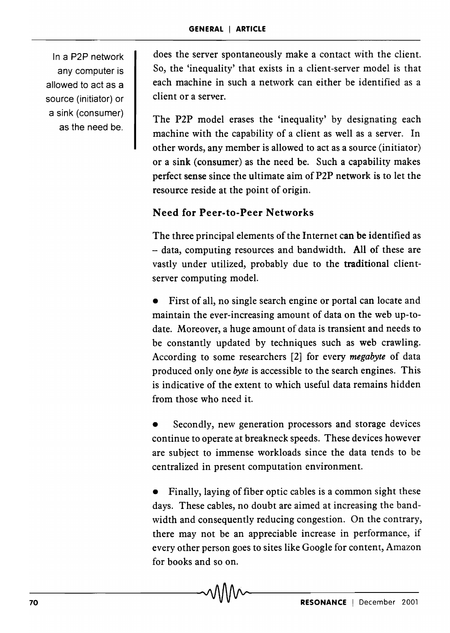In a P2P network any computer is allowed to act as a source (initiator) or a sink (consumer) as the need be.

does the server spontaneously make a contact with the client. So, the 'inequality' that exists in a client-server model is that each machine in such a network can either be identified as a client or a server.

The P2P model erases the 'inequality' by designating each machine with the capability of a client as well as a server. In other words, any member is allowed to act as a source (initiator) or a sink (consumer) as the need be. Such a capability makes perfect sense since the ultimate aim of P2P network is to let the resource reside at the point of origin.

# Need for Peer-to-Peer Networks

The three principal elements of the Internet can be identified as - data, computing resources and bandwidth. All of these are vastly under utilized, probably due to the traditional clientserver computing model.

First of all, no single search engine or portal can locate and maintain the ever-increasing amount of data on the web up-todate. Moreover, a huge amount of data is transient and needs to be constantly updated by techniques such as web crawling. According to some researchers [2] for every *megabyte* of data produced only one *byte* is accessible to the search engines. This is indicative of the extent to which useful data remains hidden from those who need it.

Secondly, new generation processors and storage devices continue to operate at breakneck speeds. These devices however are subject to immense workloads since the data tends to be centralized in present computation environment.

Finally, laying of fiber optic cables is a common sight these days. These cables, no doubt are aimed at increasing the bandwidth and consequently reducing congestion. On the contrary, there may not be an appreciable increase in performance, if every other person goes to sites like Google for content, Amazon for books and so on.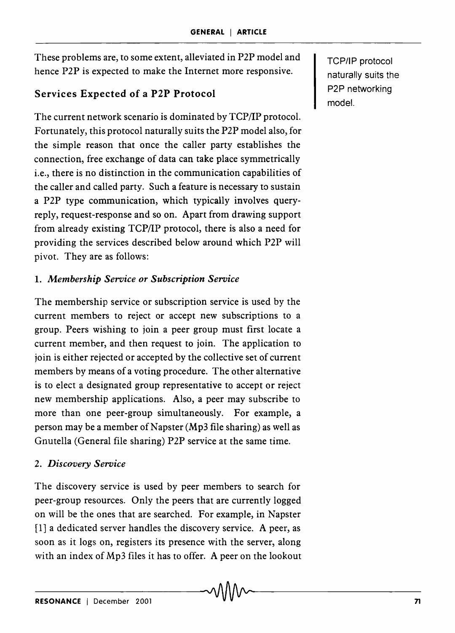These problems are, to some extent, alleviated in P2P model and hence P2P is expected to make the Internet more responsive.

# Services Expected of a P2P Protocol

The current network scenario is dominated by TCP/IP protocol. Fortunately, this protocol naturally suits the P2P model also, for the simple reason that once the caller party establishes the connection, free exchange of data can take place symmetrically i.e., there is no distinction in the communication capabilities of the caller and called party. Such a feature is necessary to sustain a P2P type communication, which typically involves queryreply, request-response and so on. Apart from drawing support from already existing TCP/IP protocol, there is also a need for providing the services described below around which P2P will pivot. They are as follows:

# 1. *Membership Service or Subscription Service*

The membership service or subscription service is used by the current members to reject or accept new subscriptions to a group. Peers wishing to join a peer group must first locate a current member, and then request to join. The application to join is either rejected or accepted by the collective set of current members by means of a voting procedure. The other alternative is to elect a designated group representative to accept or reject new membership applications. Also, a peer may subscribe to more than one peer-group simultaneously. For example, a person may be a member of Napster ( $Mp3$  file sharing) as well as Gnutella (General file sharing) P2P service at the same time.

# *2. Discovery Service*

The discovery service is used by peer members to search for peer-group resources. Only the peers that are currently logged on will be the ones that are searched. For example, in Napster [1] a dedicated server handles the discovery service. A peer, as soon as it logs on, registers its presence with the server, along with an index of Mp3 files it has to offer. A peer on the lookout TCP/IP protocol naturally suits the P2P networking model.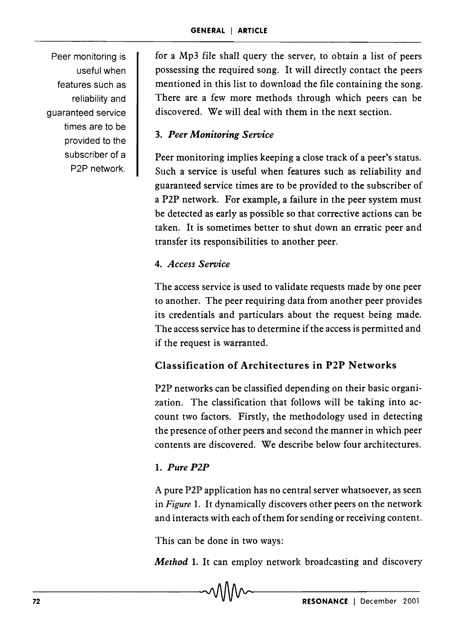Peer monitoring is useful when features such as reliability and guaranteed service times are to be provided to the subscriber of a P2P network.

for a Mp3 file shall query the server, to obtain a list of peers possessing the required song. It will directly contact the peers mentioned in this list to download the file containing the song. There are a few more methods through which peers can be discovered. We will deal with them in the next section.

# *3. Peer Monitoring Service*

Peer monitoring implies keeping a close track of a peer's status. Such a service is useful when features such as reliability and guaranteed service times are to be provided to the subscriber of a P2P network. For example, a failure in the peer system must be detected as early as possible so that corrective actions can be taken. It is sometimes better to shut down an erratic peer and transfer its responsibilities to another peer.

# *4. Access Service*

The access service is used to validate requests made by one peer to another. The peer requiring data from another peer provides its credentials and particulars about the request being made. The access service has to determine if the access is permitted and if the request is warranted.

# Classification of Architectures in P2P Networks

P2P networks can be classified depending on their basic organization. The classification that follows will be taking into account two factors. Firstly, the methodology used in detecting the presence of other peers and second the manner in which peer contents are discovered. We describe below four architectures.

## 1. *Pure P2P*

A pure P2P application has no central server whatsoever, as seen in *Figure* 1. It dynamically discovers other peers on the network and interacts with each of them for sending or receiving content.

This can be done in two ways:

*Method* 1. It can employ network broadcasting and discovery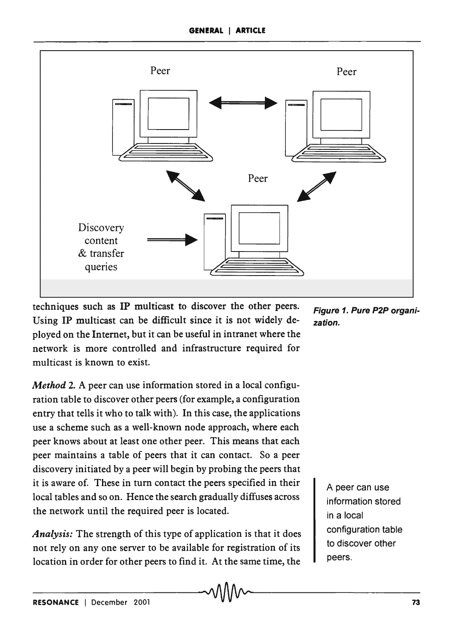

techniques such as IP multicast to discover the other peers. Using IP multicast can be difficult since it is not widely deployed on the Internet, but it can be useful in intranet where the network is more controlled and infrastructure required for multicast is known to exist.

*Method* 2. A peer can use information stored in a local configuration table to discover other peers (for example, a configuration entry that tells it who to talk with). In this case, the applications use a scheme such as a well-known node approach, where each peer knows about at least one other peer. This means that each peer maintains a table of peers that it can contact. So a peer discovery initiated by a peer will begin by probing the peers that it is aware of. These in turn contact the peers specified in their local tables and so on. Hence the search gradually diffuses across the network until the required peer is located.

*Analysis:* The strength of this type of application is that it does not rely on anyone server to be available for registration of its location in order for other peers to find it. At the same time, the Figure 1. Pure P2P organization.

> A peer can use information stored in a local configuration table to discover other peers.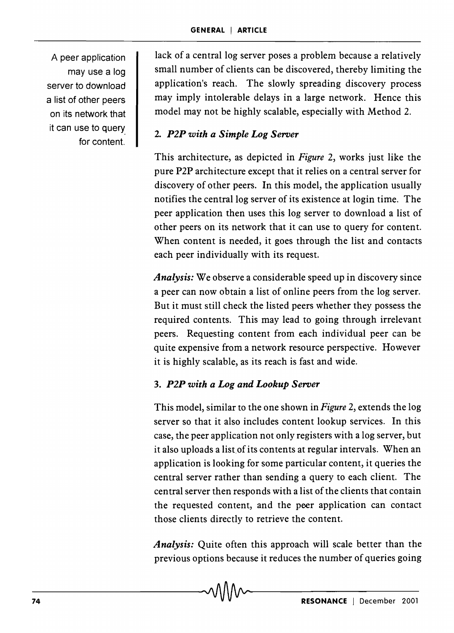A peer application may use a log server to download a list of other peers on its network that it can use to query for content.

lack of a central log server poses a problem because a relatively small number of clients can be discovered, thereby limiting the application's reach. The slowly spreading discovery process may imply intolerable delays in a large network. Hence this model may not be highly scalable, especially with Method 2.

# *2. P2P with a Simple Log Server*

This architecture, as depicted in *Figure* 2, works just like the pure P2P architecture except that it relies on a central server for discovery of other peers. In this model, the application usually notifies the central log server of its existence at login time. The peer application then uses this log server to download a list of other peers on its network that it can use to query for content. When content is needed, it goes through the list and contacts each peer individually with its request.

*Analysis:* We observe a considerable speed up in discovery since a peer can now obtain a list of online peers from the log server. But it must still check the listed peers whether they possess the required contents. This may lead to going through irrelevant peers. Requesting content from each individual peer can be quite expensive from a network resource perspective. However it is highly scalable, as its reach is fast and wide.

## *3. P2P with a Log and Lookup Server*

This model, similar to the one shown in *Figure* 2, extends the log server so that it also includes content lookup services. In this case, the peer application not only registers with a log server, but it also uploads a list of its contents at regular intervals. When an application is looking for some particular content, it queries the central server rather than sending a query to each client. The central server then responds with a list of the clients that contain the requested content, and the peer application can contact those clients directly to retrieve the content.

*Analysis:* Quite often this approach will scale better than the previous options because it reduces the number of queries going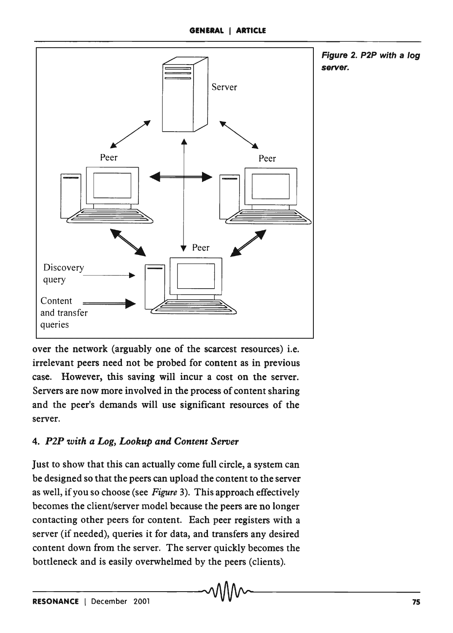

Figure 2. P2P with a log server.

over the network (arguably one of the scarcest resources) i.e. irrelevant peers need not be probed for content as in previous case. However, this saving will incur a cost on the server. Servers are now more involved in the process of content sharing and the peer's demands will use significant resources of the server.

# *4. P2P with a Log, Lookup and Content Server*

Just to show that this can actually come full circle, a system can be designed so that the peers can upload the content to the server as well, if you so choose (see *Figure* 3). This approach effectively becomes the client/server model because the peers are no longer contacting other peers for content. Each peer registers with a server (if needed), queries it for data, and transfers any desired content down from the server. The server quickly becomes the bottleneck and is easily overwhelmed by the peers (clients).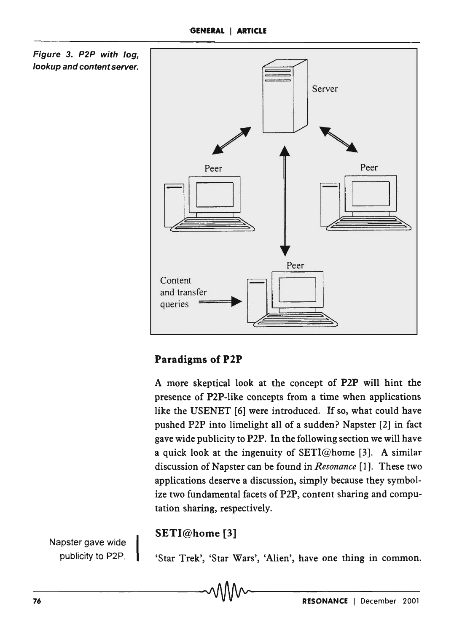

#### Paradigms of P2P

A more skeptical look at the concept of P2P will hint the presence of P2P-like concepts from a time when applications like the USENET [6] were introduced. If so, what could have pushed P2P into limelight all of a sudden? Napster [2] in fact gave wide publicity to P2P. In the following section we will have a quick look at the ingenuity of  $SETI@home$  [3]. A similar discussion of Napster can be found in *Resonance* [1]. These two applications deserve a discussion, simply because they symbolize two fundamental facets of P2P, content sharing and computation sharing, respectively.

#### SETI@home [3]

Napster gave wide publicity to P2P.

'Star Trek', 'Star Wars', 'Alien', have one thing in common.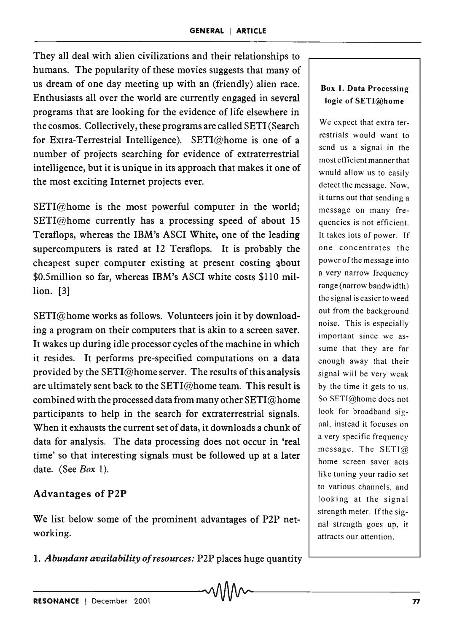They all deal with alien civilizations and their relationships to humans. The popularity of these movies suggests that many of us dream of one day meeting up with an (friendly) alien race. Enthusiasts all over the world are currently engaged in several programs that are looking for the evidence of life elsewhere in the cosmos. Collectively, these programs are called SETI (Search for Extra-Terrestrial Intelligence). SETI@home is one of a number of projects searching for evidence of extraterrestrial intelligence, but it is unique in its approach that makes it one of the most exciting Internet projects ever.

SETI@home is the most powerful computer in the world; SETI@home currently has a processing speed of about 15 Teraflops, whereas the IBM's ASCI White, one of the leading supercomputers is rated at 12 Teraflops. It is probably the cheapest super computer existing at present costing about \$0.5million so far, whereas IBM's ASCI white costs \$110 million. [3]

SETI@home works as follows. Volunteers join it by downloading a program on their computers that is akin to a screen saver. It wakes up during idle processor cycles of the machine in which it resides. It performs pre-specified computations on a data provided by the  $SETI@$  home server. The results of this analysis are ultimately sent back to the SETI@home team. This result is combined with the processed data from many other SETI@home participants to help in the search for extraterrestrial signals. When it exhausts the current set of data, it downloads a chunk of data for analysis. The data processing does not occur in 'real time' so that interesting signals must be followed up at a later date. (See *Box 1).* 

#### Advantages of P2P

We list below some of the prominent advantages of P2P networking.

1. *Abundant availability of resources:* P2P places huge quantity

#### Box 1. Data Processing logic of SETI@home

We expect that extra terrestrials would want to send us a signal in the most efficient manner that would allow us to easily detect the message. Now, it turns out that sending a message on many frequencies is not efficient. It takes lots of power. If one concentrates the power of the message into a very narrow frequency range (narrow bandwidth) the signal is easier to weed out from the background noise. This is especially important since we assume that they are far enough away that their signal will be very weak by the time it gets to us. So SETI@home does not look for broadband signal, instead it focuses on a very specific frequency message. The SETI@ home screen saver acts like tuning your radio set to various channels, and looking at the signal strength meter. If the signal strength goes up, it attracts our attention.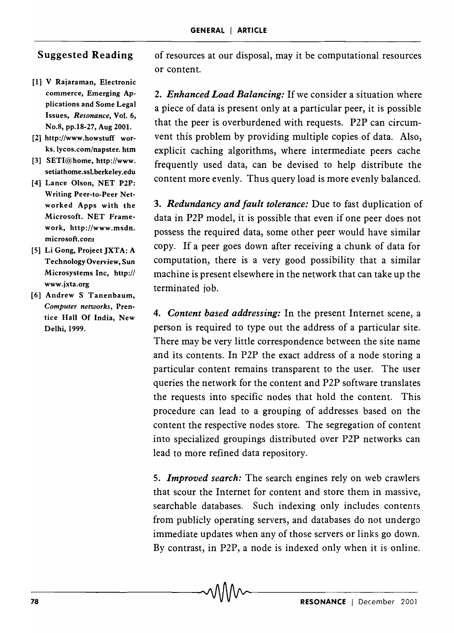## Suggested Reading

- [1] V Rajaraman, Electronic commerce, Emerging Applications and Some Legal Issues, *Resonance,* Vol. 6, No.8, pp.18-27, Aug 2001.
- [2] http://www.howstuff works. lycos.com/napster. htm
- [3] SETI@home, http://www. setiathome.ssLberkeley.edu
- [4] Lance Olson, NET P2P: Writing Peer-to-Peer Networked Apps with the Microsoft. NET Framework, http://www.msdn. microsoft. com
- [5] Li Gong, Project JXTA: A Technology Overview, Sun Microsystems Inc, http:// www.jxta.org
- [6] Andrew S Tanenbaum, *Computer networks,* Prentice Hall Of India, New Delhi, 1999.

of resources at our disposal, may it be computational resources or content.

*2. Enhanced Load Balancing:* If we consider a situation where a piece of data is present only at a particular peer, it is possible that the peer is overburdened with requests. P2P can circumvent this problem by providing multiple copies of data. Also, explicit caching algorithms, where intermediate peers cache frequently used data, can be devised to help distribute the content more evenly. Thus query load is more evenly balanced.

*'3. Redundancy and fault tolerance:* Due to fast duplication of data in P2P model, it is possible that even if one peer does not possess the required data, some other peer would have similar copy. If a peer goes down after receiving a chunk of data for computation, there is a very good possibility that a similar machine is present elsewhere in the network that can take up the terminated job.

*4. Content based addressing:* In the present Internet scene, a person is required to type out the address of a particular site. There may be very little correspondence between the site name and its contents. In P2P the exact address of a node storing a particular content remains transparent to the user. The user queries the network for the content and P2P software translates the requests into specific nodes that hold the content. This procedure can lead to a grouping of addresses based on the content the respective nodes store. The segregation of content into specialized groupings distributed over P2P networks can lead to more refined data repository.

*5. Improved search:* The search engines rely on web crawlers that scour the Internet for content and store them in massive, searchable databases. Such indexing only includes contents from publicly operating servers, and databases do not undergo immediate updates when any of those servers or links go down. By contrast, in P2P, a node is indexed only when it is online.